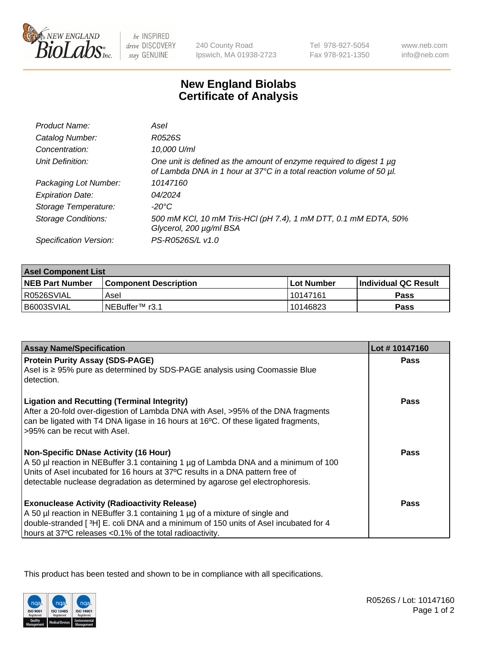

 $be$  INSPIRED drive DISCOVERY stay GENUINE

240 County Road Ipswich, MA 01938-2723 Tel 978-927-5054 Fax 978-921-1350

www.neb.com info@neb.com

## **New England Biolabs Certificate of Analysis**

| Product Name:              | Asel                                                                                                                                        |
|----------------------------|---------------------------------------------------------------------------------------------------------------------------------------------|
| Catalog Number:            | R0526S                                                                                                                                      |
| Concentration:             | 10,000 U/ml                                                                                                                                 |
| Unit Definition:           | One unit is defined as the amount of enzyme required to digest 1 µg<br>of Lambda DNA in 1 hour at 37°C in a total reaction volume of 50 µl. |
| Packaging Lot Number:      | 10147160                                                                                                                                    |
| <b>Expiration Date:</b>    | 04/2024                                                                                                                                     |
| Storage Temperature:       | $-20^{\circ}$ C                                                                                                                             |
| <b>Storage Conditions:</b> | 500 mM KCl, 10 mM Tris-HCl (pH 7.4), 1 mM DTT, 0.1 mM EDTA, 50%<br>Glycerol, 200 µg/ml BSA                                                  |
| Specification Version:     | PS-R0526S/L v1.0                                                                                                                            |

| <b>Asel Component List</b> |                         |              |                             |  |
|----------------------------|-------------------------|--------------|-----------------------------|--|
| <b>NEB Part Number</b>     | l Component Description | l Lot Number | <b>Individual QC Result</b> |  |
| I R0526SVIAL               | Asel                    | l 10147161   | Pass                        |  |
| l B6003SVIAL               | INEBuffer™ r3.1         | 10146823     | Pass                        |  |

| <b>Assay Name/Specification</b>                                                                                                                                                                                                                                                                       | Lot #10147160 |
|-------------------------------------------------------------------------------------------------------------------------------------------------------------------------------------------------------------------------------------------------------------------------------------------------------|---------------|
| <b>Protein Purity Assay (SDS-PAGE)</b><br>Asel is ≥ 95% pure as determined by SDS-PAGE analysis using Coomassie Blue<br>detection.                                                                                                                                                                    | <b>Pass</b>   |
| <b>Ligation and Recutting (Terminal Integrity)</b><br>After a 20-fold over-digestion of Lambda DNA with Asel, >95% of the DNA fragments<br>can be ligated with T4 DNA ligase in 16 hours at 16°C. Of these ligated fragments,<br>>95% can be recut with Asel.                                         | <b>Pass</b>   |
| <b>Non-Specific DNase Activity (16 Hour)</b><br>A 50 µl reaction in NEBuffer 3.1 containing 1 µg of Lambda DNA and a minimum of 100<br>Units of Asel incubated for 16 hours at 37°C results in a DNA pattern free of<br>detectable nuclease degradation as determined by agarose gel electrophoresis. | <b>Pass</b>   |
| <b>Exonuclease Activity (Radioactivity Release)</b><br>A 50 µl reaction in NEBuffer 3.1 containing 1 µg of a mixture of single and<br>double-stranded [ $3H$ ] E. coli DNA and a minimum of 150 units of Asel incubated for 4<br>hours at 37°C releases <0.1% of the total radioactivity.             | Pass          |

This product has been tested and shown to be in compliance with all specifications.